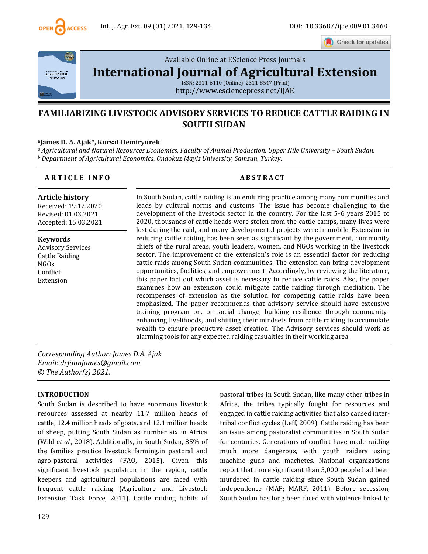

Check for updates



Available Online at EScience Press Journals

**[International Journal of Agricultural Extension](http://www.escijournals.net/IJER)**

ISSN: 2311-6110 (Online), 2311-8547 (Print) http://www.esciencepress.net/IJAE

# **FAMILIARIZING LIVESTOCK ADVISORY SERVICES TO REDUCE CATTLE RAIDING IN SOUTH SUDAN**

#### **<sup>a</sup>James D. A. Ajak\*, Kursat Demiryurek**

*<sup>a</sup> Agricultural and Natural Resources Economics, Faculty of Animal Production, Upper Nile University – South Sudan. <sup>b</sup> Department of Agricultural Economics, Ondokuz Mayis University, Samsun, Turkey.*

## **A R T I C L E I N F O A B S T R A C T**

**Article history** Received: 19.12.2020 Revised: 01.03.2021 Accepted: 15.03.2021

**Keywords** Advisory Services Cattle Raiding NGOs Conflict Extension

In South Sudan, cattle raiding is an enduring practice among many communities and leads by cultural norms and customs. The issue has become challenging to the development of the livestock sector in the country. For the last 5-6 years 2015 to 2020, thousands of cattle heads were stolen from the cattle camps, many lives were lost during the raid, and many developmental projects were immobile. Extension in reducing cattle raiding has been seen as significant by the government, community chiefs of the rural areas, youth leaders, women, and NGOs working in the livestock sector. The improvement of the extension's role is an essential factor for reducing cattle raids among South Sudan communities. The extension can bring development opportunities, facilities, and empowerment. Accordingly, by reviewing the literature, this paper fact out which asset is necessary to reduce cattle raids. Also, the paper examines how an extension could mitigate cattle raiding through mediation. The recompenses of extension as the solution for competing cattle raids have been emphasized. The paper recommends that advisory service should have extensive training program on. on social change, building resilience through communityenhancing livelihoods, and shifting their mindsets from cattle raiding to accumulate wealth to ensure productive asset creation. The Advisory services should work as alarming tools for any expected raiding casualties in their working area.

*Corresponding Author: James D.A. Ajak Email: drfounjames@gmail.com © The Author(s) 2021.*

## **INTRODUCTION**

South Sudan is described to have enormous livestock resources assessed at nearby 11.7 million heads of cattle, 12.4 million heads of goats, and 12.1 million heads of sheep, putting South Sudan as number six in Africa (Wild *et al.*, 2018). Additionally, in South Sudan, 85% of the families practice livestock farming.in pastoral and agro-pastoral activities (FAO, 2015). Given this significant livestock population in the region, cattle keepers and agricultural populations are faced with frequent cattle raiding (Agriculture and Livestock Extension Task Force, 2011). Cattle raiding habits of pastoral tribes in South Sudan, like many other tribes in Africa, the tribes typically fought for resources and engaged in cattle raiding activities that also caused intertribal conflict cycles (Leff, 2009). Cattle raiding has been an issue among pastoralist communities in South Sudan for centuries. Generations of conflict have made raiding much more dangerous, with youth raiders using machine guns and machetes. National organizations report that more significant than 5,000 people had been murdered in cattle raiding since South Sudan gained independence (MAF; MARF, 2011). Before secession, South Sudan has long been faced with violence linked to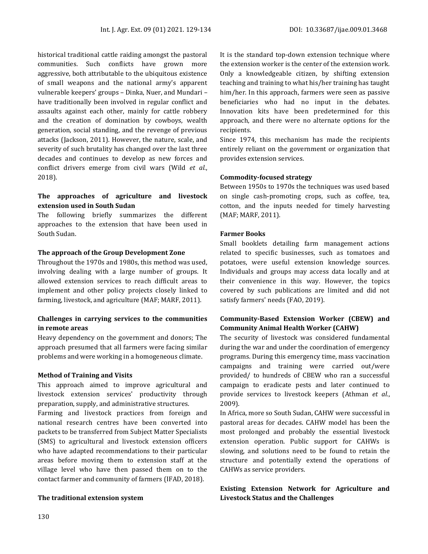historical traditional cattle raiding amongst the pastoral communities. Such conflicts have grown more aggressive, both attributable to the ubiquitous existence of small weapons and the national army's apparent vulnerable keepers' groups – Dinka, Nuer, and Mundari – have traditionally been involved in regular conflict and assaults against each other, mainly for cattle robbery and the creation of domination by cowboys, wealth generation, social standing, and the revenge of previous attacks (Jackson, 2011). However, the nature, scale, and severity of such brutality has changed over the last three decades and continues to develop as new forces and conflict drivers emerge from civil wars (Wild *et al.*, 2018).

## **The approaches of agriculture and livestock extension used in South Sudan**

The following briefly summarizes the different approaches to the extension that have been used in South Sudan.

#### **The approach of the Group Development Zone**

Throughout the 1970s and 1980s, this method was used, involving dealing with a large number of groups. It allowed extension services to reach difficult areas to implement and other policy projects closely linked to farming, livestock, and agriculture (MAF; MARF, 2011).

## **Challenges in carrying services to the communities in remote areas**

Heavy dependency on the government and donors; The approach presumed that all farmers were facing similar problems and were working in a homogeneous climate.

#### **Method of Training and Visits**

This approach aimed to improve agricultural and livestock extension services' productivity through preparation, supply, and administrative structures.

Farming and livestock practices from foreign and national research centres have been converted into packets to be transferred from Subject Matter Specialists (SMS) to agricultural and livestock extension officers who have adapted recommendations to their particular areas before moving them to extension staff at the village level who have then passed them on to the contact farmer and community of farmers (IFAD, 2018).

## **The traditional extension system**

It is the standard top-down extension technique where the extension worker is the center of the extension work. Only a knowledgeable citizen, by shifting extension teaching and training to what his/her training has taught him/her. In this approach, farmers were seen as passive beneficiaries who had no input in the debates. Innovation kits have been predetermined for this approach, and there were no alternate options for the recipients.

Since 1974, this mechanism has made the recipients entirely reliant on the government or organization that provides extension services.

## **Commodity-focused strategy**

Between 1950s to 1970s the techniques was used based on single cash-promoting crops, such as coffee, tea, cotton, and the inputs needed for timely harvesting (MAF; MARF, 2011).

## **Farmer Books**

Small booklets detailing farm management actions related to specific businesses, such as tomatoes and potatoes, were useful extension knowledge sources. Individuals and groups may access data locally and at their convenience in this way. However, the topics covered by such publications are limited and did not satisfy farmers' needs (FAO, 2019).

## **Community-Based Extension Worker (CBEW) and Community Animal Health Worker (CAHW)**

The security of livestock was considered fundamental during the war and under the coordination of emergency programs. During this emergency time, mass vaccination campaigns and training were carried out/were provided/ to hundreds of CBEW who ran a successful campaign to eradicate pests and later continued to provide services to livestock keepers (Athman *et al.*, 2009).

In Africa, more so South Sudan, CAHW were successful in pastoral areas for decades. CAHW model has been the most prolonged and probably the essential livestock extension operation. Public support for CAHWs is slowing, and solutions need to be found to retain the structure and potentially extend the operations of CAHWs as service providers.

## **Existing Extension Network for Agriculture and Livestock Status and the Challenges**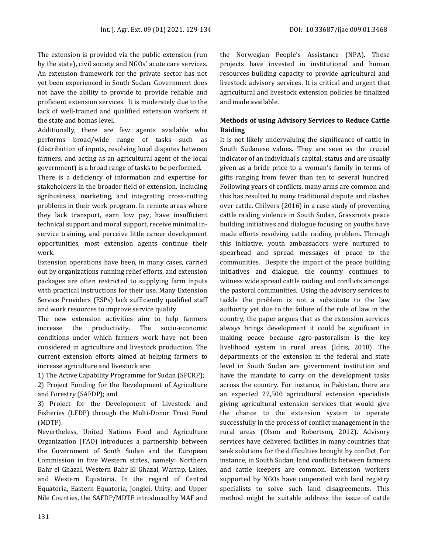The extension is provided via the public extension (run by the state), civil society and NGOs' acute care services. An extension framework for the private sector has not yet been experienced in South Sudan. Government does not have the ability to provide to provide reliable and proficient extension services. It is moderately due to the lack of well-trained and qualified extension workers at the state and bomas level.

Additionally, there are few agents available who performs broad/wide range of tasks such as (distribution of inputs, resolving local disputes between farmers, and acting as an agricultural agent of the local government) is a broad range of tasks to be performed.

There is a deficiency of information and expertise for stakeholders in the broader field of extension, including agribusiness, marketing, and integrating cross-cutting problems in their work program. In remote areas where they lack transport, earn low pay, have insufficient technical support and moral support, receive minimal inservice training, and perceive little career development opportunities, most extension agents continue their work.

Extension operations have been, in many cases, carried out by organizations running relief efforts, and extension packages are often restricted to supplying farm inputs with practical instructions for their use. Many Extension Service Providers (ESPs) lack sufficiently qualified staff and work resources to improve service quality.

The new extension activities aim to help farmers increase the productivity. The socio-economic conditions under which farmers work have not been considered in agriculture and livestock production. The current extension efforts aimed at helping farmers to increase agriculture and livestock are:

1) The Active Capability Programme for Sudan (SPCRP);

2) Project Funding for the Development of Agriculture and Forestry (SAFDP); and

3) Project for the Development of Livestock and Fisheries (LFDP) through the Multi-Donor Trust Fund (MDTF).

Nevertheless, United Nations Food and Agriculture Organization (FAO) introduces a partnership between the Government of South Sudan and the European Commission in five Western states, namely: Northern Bahr el Ghazal, Western Bahr El Ghazal, Warrap, Lakes, and Western Equatoria. In the regard of Central Equatoria, Eastern Equatoria, Jonglei, Unity, and Upper Nile Counties, the SAFDP/MDTF introduced by MAF and the Norwegian People's Assistance (NPA). These projects have invested in institutional and human resources building capacity to provide agricultural and livestock advisory services. It is critical and urgent that agricultural and livestock extension policies be finalized and made available.

## **Methods of using Advisory Services to Reduce Cattle Raiding**

It is not likely undervaluing the significance of cattle in South Sudanese values. They are seen as the crucial indicator of an individual's capital, status and are usually given as a bride price to a woman's family in terms of gifts ranging from fewer than ten to several hundred. Following years of conflicts, many arms are common and this has resulted to many traditional dispute and clashes over cattle. Chilvers (2016) in a case study of preventing cattle raiding violence in South Sudan, Grassroots peace building initiatives and dialogue focusing on youths have made efforts resolving cattle raiding problem. Through this initiative, youth ambassadors were nurtured to spearhead and spread messages of peace to the communities. Despite the impact of the peace building initiatives and dialogue, the country continues to witness wide spread cattle raiding and conflicts amongst the pastoral communities. Using the advisory services to tackle the problem is not a substitute to the law authority yet due to the failure of the rule of law in the country, the paper argues that as the extension services always brings development it could be significant in making peace because agro-pastoralism is the key livelihood system in rural areas (Idris, 2018). The departments of the extension in the federal and state level in South Sudan are government institution and have the mandate to carry on the development tasks across the country. For instance, in Pakistan, there are an expected 22,500 agricultural extension specialists giving agricultural extension services that would give the chance to the extension system to operate successfully in the process of conflict management in the rural areas (Olson and Robertson, 2012). Advisory services have delivered facilities in many countries that seek solutions for the difficulties brought by conflict. For instance, in South Sudan, land conflicts between farmers and cattle keepers are common. Extension workers supported by NGOs have cooperated with land registry specialists to solve such land disagreements. This method might be suitable address the issue of cattle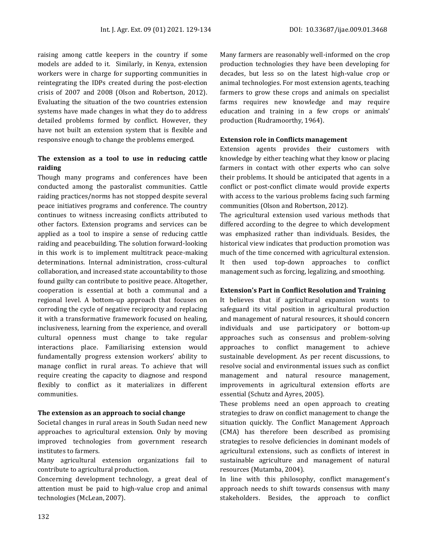raising among cattle keepers in the country if some models are added to it. Similarly, in Kenya, extension workers were in charge for supporting communities in reintegrating the IDPs created during the post-election crisis of 2007 and 2008 (Olson and Robertson, 2012). Evaluating the situation of the two countries extension systems have made changes in what they do to address detailed problems formed by conflict. However, they have not built an extension system that is flexible and responsive enough to change the problems emerged.

## **The extension as a tool to use in reducing cattle raiding**

Though many programs and conferences have been conducted among the pastoralist communities. Cattle raiding practices/norms has not stopped despite several peace initiatives programs and conference. The country continues to witness increasing conflicts attributed to other factors. Extension programs and services can be applied as a tool to inspire a sense of reducing cattle raiding and peacebuilding. The solution forward-looking in this work is to implement multitrack peace-making determinations. Internal administration, cross-cultural collaboration, and increased state accountability to those found guilty can contribute to positive peace. Altogether, cooperation is essential at both a communal and a regional level. A bottom-up approach that focuses on corroding the cycle of negative reciprocity and replacing it with a transformative framework focused on healing, inclusiveness, learning from the experience, and overall cultural openness must change to take regular interactions place. Familiarising extension would fundamentally progress extension workers' ability to manage conflict in rural areas. To achieve that will require creating the capacity to diagnose and respond flexibly to conflict as it materializes in different communities.

#### **The extension as an approach to social change**

Societal changes in rural areas in South Sudan need new approaches to agricultural extension. Only by moving improved technologies from government research institutes to farmers.

Many agricultural extension organizations fail to contribute to agricultural production.

Concerning development technology, a great deal of attention must be paid to high-value crop and animal technologies (McLean, 2007).

Many farmers are reasonably well-informed on the crop production technologies they have been developing for decades, but less so on the latest high-value crop or animal technologies. For most extension agents, teaching farmers to grow these crops and animals on specialist farms requires new knowledge and may require education and training in a few crops or animals' production (Rudramoorthy, 1964).

### **Extension role in Conflicts management**

Extension agents provides their customers with knowledge by either teaching what they know or placing farmers in contact with other experts who can solve their problems. It should be anticipated that agents in a conflict or post-conflict climate would provide experts with access to the various problems facing such farming communities (Olson and Robertson, 2012).

The agricultural extension used various methods that differed according to the degree to which development was emphasized rather than individuals. Besides, the historical view indicates that production promotion was much of the time concerned with agricultural extension. It then used top-down approaches to conflict management such as forcing, legalizing, and smoothing.

#### **Extension's Part in Conflict Resolution and Training**

It believes that if agricultural expansion wants to safeguard its vital position in agricultural production and management of natural resources, it should concern individuals and use participatory or bottom-up approaches such as consensus and problem-solving approaches to conflict management to achieve sustainable development. As per recent discussions, to resolve social and environmental issues such as conflict management and natural resource management, improvements in agricultural extension efforts are essential (Schutz and Ayres, 2005).

These problems need an open approach to creating strategies to draw on conflict management to change the situation quickly. The Conflict Management Approach (CMA) has therefore been described as promising strategies to resolve deficiencies in dominant models of agricultural extensions, such as conflicts of interest in sustainable agriculture and management of natural resources (Mutamba, 2004).

In line with this philosophy, conflict management's approach needs to shift towards consensus with many stakeholders. Besides, the approach to conflict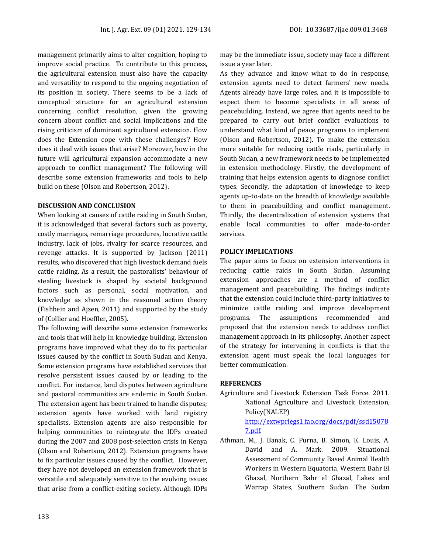management primarily aims to alter cognition, hoping to improve social practice. To contribute to this process, the agricultural extension must also have the capacity and versatility to respond to the ongoing negotiation of its position in society. There seems to be a lack of conceptual structure for an agricultural extension concerning conflict resolution, given the growing concern about conflict and social implications and the rising criticism of dominant agricultural extension. How does the Extension cope with these challenges? How does it deal with issues that arise? Moreover, how in the future will agricultural expansion accommodate a new approach to conflict management? The following will describe some extension frameworks and tools to help build on these (Olson and Robertson, 2012).

#### **DISCUSSION AND CONCLUSION**

When looking at causes of cattle raiding in South Sudan, it is acknowledged that several factors such as poverty, costly marriages, remarriage procedures, lucrative cattle industry, lack of jobs, rivalry for scarce resources, and revenge attacks. It is supported by Jackson (2011) results, who discovered that high livestock demand fuels cattle raiding. As a result, the pastoralists' behaviour of stealing livestock is shaped by societal background factors such as personal, social motivation, and knowledge as shown in the reasoned action theory (Fishbein and Ajzen, 2011) and supported by the study of (Collier and Hoeffler, 2005).

The following will describe some extension frameworks and tools that will help in knowledge building. Extension programs have improved what they do to fix particular issues caused by the conflict in South Sudan and Kenya. Some extension programs have established services that resolve persistent issues caused by or leading to the conflict. For instance, land disputes between agriculture and pastoral communities are endemic in South Sudan. The extension agent has been trained to handle disputes; extension agents have worked with land registry specialists. Extension agents are also responsible for helping communities to reintegrate the IDPs created during the 2007 and 2008 post-selection crisis in Kenya (Olson and Robertson, 2012). Extension programs have to fix particular issues caused by the conflict. However, they have not developed an extension framework that is versatile and adequately sensitive to the evolving issues that arise from a conflict-exiting society. Although IDPs

may be the immediate issue, society may face a different issue a year later.

As they advance and know what to do in response, extension agents need to detect farmers' new needs. Agents already have large roles, and it is impossible to expect them to become specialists in all areas of peacebuilding. Instead, we agree that agents need to be prepared to carry out brief conflict evaluations to understand what kind of peace programs to implement (Olson and Robertson, 2012). To make the extension more suitable for reducing cattle riads, particularly in South Sudan, a new framework needs to be implemented in extension methodology. Firstly, the development of training that helps extension agents to diagnose conflict types. Secondly, the adaptation of knowledge to keep agents up-to-date on the breadth of knowledge available to them in peacebuilding and conflict management. Thirdly, the decentralization of extension systems that enable local communities to offer made-to-order services.

#### **POLICY IMPLICATIONS**

The paper aims to focus on extension interventions in reducing cattle raids in South Sudan. Assuming extension approaches are a method of conflict management and peacebuilding. The findings indicate that the extension could include third-party initiatives to minimize cattle raiding and improve development programs. The assumptions recommended and proposed that the extension needs to address conflict management approach in its philosophy. Another aspect of the strategy for intervening in conflicts is that the extension agent must speak the local languages for better communication.

#### **REFERENCES**

- Agriculture and Livestock Extension Task Force. 2011. National Agriculture and Livestock Extension, Policy(NALEP) [http://extwprlegs1.fao.org/docs/pdf/ssd15078](http://extwprlegs1.fao.org/docs/pdf/ssd150787.pdf) [7.pdf.](http://extwprlegs1.fao.org/docs/pdf/ssd150787.pdf)
- Athman, M., J. Banak, C. Purna, B. Simon, K. Louis, A. David and A. Mark. 2009. Situational Assessment of Community Based Animal Health Workers in Western Equatoria, Western Bahr El Ghazal, Northern Bahr el Ghazal, Lakes and Warrap States, Southern Sudan. The Sudan